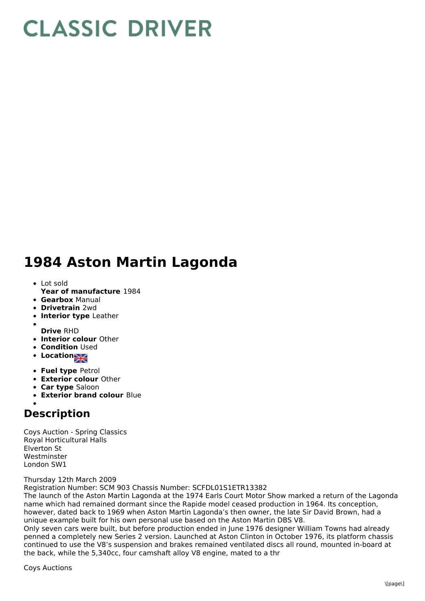## **CLASSIC DRIVER**

## **1984 Aston Martin Lagonda**

- Lot sold
- **Year of manufacture** 1984
- **Gearbox** Manual
- **Drivetrain** 2wd
- **Interior type** Leather
- **Drive** RHD
- **Interior colour** Other
- **Condition Used**
- **Location**
- **Fuel type** Petrol
- **Exterior colour** Other
- **Car type** Saloon
- **Exterior brand colour** Blue

## **Description**

Coys Auction - Spring Classics Royal Horticultural Halls Elverton St Westminster London SW1

Thursday 12th March 2009

Registration Number: SCM 903 Chassis Number: SCFDL01S1ETR13382

The launch of the Aston Martin Lagonda at the 1974 Earls Court Motor Show marked a return of the Lagonda name which had remained dormant since the Rapide model ceased production in 1964. Its conception, however, dated back to 1969 when Aston Martin Lagonda's then owner, the late Sir David Brown, had a unique example built for his own personal use based on the Aston Martin DBS V8.

Only seven cars were built, but before production ended in June 1976 designer William Towns had already penned a completely new Series 2 version. Launched at Aston Clinton in October 1976, its platform chassis continued to use the V8's suspension and brakes remained ventilated discs all round, mounted in-board at the back, while the 5,340cc, four camshaft alloy V8 engine, mated to a thr

Coys Auctions